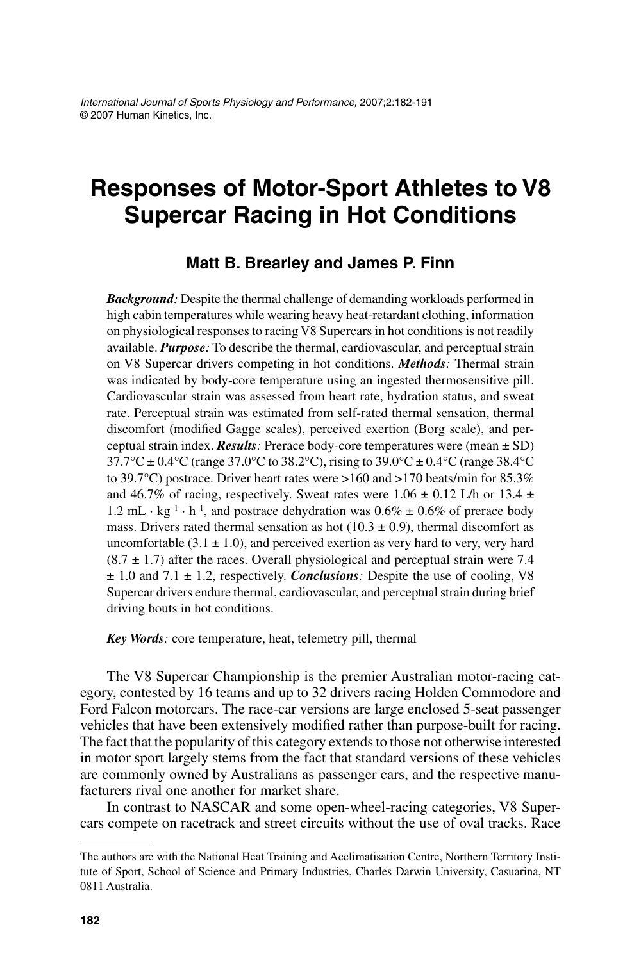# **Responses of Motor-Sport Athletes to V8 Supercar Racing in Hot Conditions**

#### **Matt B. Brearley and James P. Finn**

*Background:* Despite the thermal challenge of demanding workloads performed in high cabin temperatures while wearing heavy heat-retardant clothing, information on physiological responses to racing V8 Supercars in hot conditions is not readily available. *Purpose:* To describe the thermal, cardiovascular, and perceptual strain on V8 Supercar drivers competing in hot conditions. *Methods:* Thermal strain was indicated by body-core temperature using an ingested thermosensitive pill. Cardiovascular strain was assessed from heart rate, hydration status, and sweat rate. Perceptual strain was estimated from self-rated thermal sensation, thermal discomfort (modified Gagge scales), perceived exertion (Borg scale), and perceptual strain index. *Results:* Prerace body-core temperatures were (mean ± SD)  $37.7^{\circ}$ C ± 0.4°C (range 37.0°C to 38.2°C), rising to 39.0°C ± 0.4°C (range 38.4°C to 39.7°C) postrace. Driver heart rates were >160 and >170 beats/min for 85.3% and 46.7% of racing, respectively. Sweat rates were  $1.06 \pm 0.12$  L/h or 13.4  $\pm$ 1.2 mL  $\cdot$  kg<sup>-1</sup>  $\cdot$  h<sup>-1</sup>, and postrace dehydration was 0.6%  $\pm$  0.6% of prerace body mass. Drivers rated thermal sensation as hot  $(10.3 \pm 0.9)$ , thermal discomfort as uncomfortable  $(3.1 \pm 1.0)$ , and perceived exertion as very hard to very, very hard  $(8.7 \pm 1.7)$  after the races. Overall physiological and perceptual strain were 7.4  $\pm$  1.0 and 7.1  $\pm$  1.2, respectively. *Conclusions*: Despite the use of cooling, V8 Supercar drivers endure thermal, cardiovascular, and perceptual strain during brief driving bouts in hot conditions.

*Key Words:* core temperature, heat, telemetry pill, thermal

The V8 Supercar Championship is the premier Australian motor-racing category, contested by 16 teams and up to 32 drivers racing Holden Commodore and Ford Falcon motorcars. The race-car versions are large enclosed 5-seat passenger vehicles that have been extensively modified rather than purpose-built for racing. The fact that the popularity of this category extends to those not otherwise interested in motor sport largely stems from the fact that standard versions of these vehicles are commonly owned by Australians as passenger cars, and the respective manufacturers rival one another for market share.

In contrast to NASCAR and some open-wheel-racing categories, V8 Supercars compete on racetrack and street circuits without the use of oval tracks. Race

The authors are with the National Heat Training and Acclimatisation Centre, Northern Territory Institute of Sport, School of Science and Primary Industries, Charles Darwin University, Casuarina, NT 0811 Australia.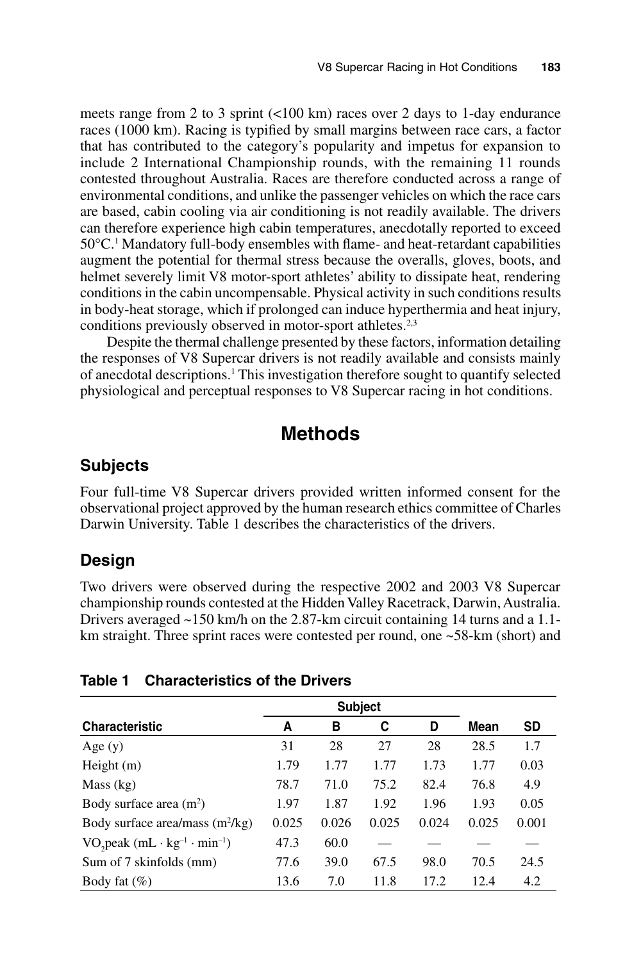meets range from 2 to 3 sprint (<100 km) races over 2 days to 1-day endurance races (1000 km). Racing is typified by small margins between race cars, a factor that has contributed to the category's popularity and impetus for expansion to include 2 International Championship rounds, with the remaining 11 rounds contested throughout Australia. Races are therefore conducted across a range of environmental conditions, and unlike the passenger vehicles on which the race cars are based, cabin cooling via air conditioning is not readily available. The drivers can therefore experience high cabin temperatures, anecdotally reported to exceed 50°C.1 Mandatory full-body ensembles with flame- and heat-retardant capabilities augment the potential for thermal stress because the overalls, gloves, boots, and helmet severely limit V8 motor-sport athletes' ability to dissipate heat, rendering conditions in the cabin uncompensable. Physical activity in such conditions results in body-heat storage, which if prolonged can induce hyperthermia and heat injury, conditions previously observed in motor-sport athletes.<sup>2,3</sup>

Despite the thermal challenge presented by these factors, information detailing the responses of V8 Supercar drivers is not readily available and consists mainly of anecdotal descriptions.<sup>1</sup> This investigation therefore sought to quantify selected physiological and perceptual responses to V8 Supercar racing in hot conditions.

### **Methods**

#### **Subjects**

Four full-time V8 Supercar drivers provided written informed consent for the observational project approved by the human research ethics committee of Charles Darwin University. Table 1 describes the characteristics of the drivers.

#### **Design**

Two drivers were observed during the respective 2002 and 2003 V8 Supercar championship rounds contested at the Hidden Valley Racetrack, Darwin, Australia. Drivers averaged ~150 km/h on the 2.87-km circuit containing 14 turns and a 1.1 km straight. Three sprint races were contested per round, one ~58-km (short) and

|                                                                               | <b>Subject</b> |       |       |       |       |           |
|-------------------------------------------------------------------------------|----------------|-------|-------|-------|-------|-----------|
| <b>Characteristic</b>                                                         | A              | в     | C     | D     | Mean  | <b>SD</b> |
| Age $(y)$                                                                     | 31             | 28    | 27    | 28    | 28.5  | 1.7       |
| Height $(m)$                                                                  | 1.79           | 1.77  | 1.77  | 1.73  | 1.77  | 0.03      |
| Mass (kg)                                                                     | 78.7           | 71.0  | 75.2  | 82.4  | 76.8  | 4.9       |
| Body surface area $(m2)$                                                      | 1.97           | 1.87  | 1.92  | 1.96  | 1.93  | 0.05      |
| Body surface area/mass $(m^2/kg)$                                             | 0.025          | 0.026 | 0.025 | 0.024 | 0.025 | 0.001     |
| VO <sub>2</sub> peak (mL $\cdot$ kg <sup>-1</sup> $\cdot$ min <sup>-1</sup> ) | 47.3           | 60.0  |       |       |       |           |
| Sum of 7 skinfolds (mm)                                                       | 77.6           | 39.0  | 67.5  | 98.0  | 70.5  | 24.5      |
| Body fat $(\%)$                                                               | 13.6           | 7.0   | 11.8  | 17.2  | 12.4  | 4.2       |

#### **Table 1 Characteristics of the Drivers**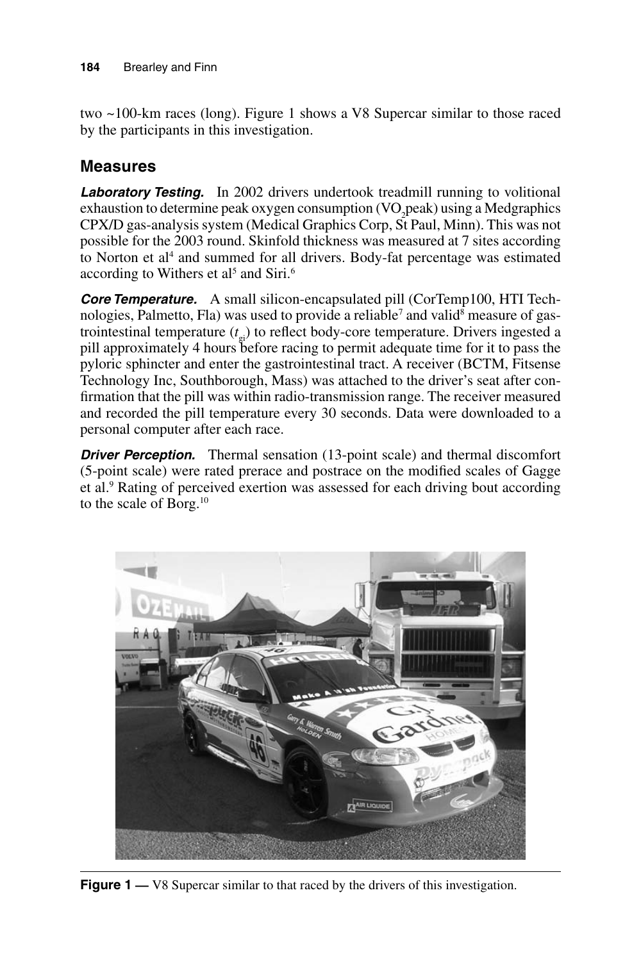two ~100-km races (long). Figure 1 shows a V8 Supercar similar to those raced by the participants in this investigation.

# **Measures**

Laboratory Testing. In 2002 drivers undertook treadmill running to volitional exhaustion to determine peak oxygen consumption (VO<sub>2</sub>peak) using a Medgraphics CPX/D gas-analysis system (Medical Graphics Corp, St Paul, Minn). This was not possible for the 2003 round. Skinfold thickness was measured at 7 sites according to Norton et al<sup>4</sup> and summed for all drivers. Body-fat percentage was estimated according to Withers et al<sup>5</sup> and Siri.<sup>6</sup>

*Core Temperature.* A small silicon-encapsulated pill (CorTemp100, HTI Technologies, Palmetto, Fla) was used to provide a reliable<sup>7</sup> and valid<sup>8</sup> measure of gastrointestinal temperature (*t* gi) to reflect body-core temperature. Drivers ingested a pill approximately 4 hours before racing to permit adequate time for it to pass the pyloric sphincter and enter the gastrointestinal tract. A receiver (BCTM, Fitsense Technology Inc, Southborough, Mass) was attached to the driver's seat after confirmation that the pill was within radio-transmission range. The receiver measured and recorded the pill temperature every 30 seconds. Data were downloaded to a personal computer after each race.

**Driver Perception.** Thermal sensation (13-point scale) and thermal discomfort (5-point scale) were rated prerace and postrace on the modified scales of Gagge et al.<sup>9</sup> Rating of perceived exertion was assessed for each driving bout according to the scale of Borg.10



**Figure 1** — V8 Supercar similar to that raced by the drivers of this investigation.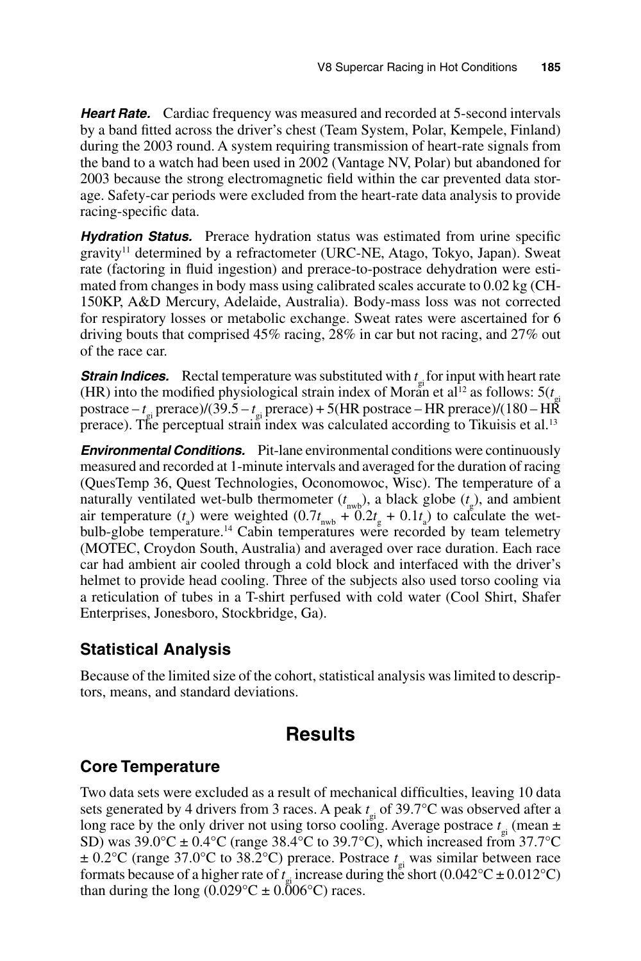**Heart Rate.** Cardiac frequency was measured and recorded at 5-second intervals by a band fitted across the driver's chest (Team System, Polar, Kempele, Finland) during the 2003 round. A system requiring transmission of heart-rate signals from the band to a watch had been used in 2002 (Vantage NV, Polar) but abandoned for 2003 because the strong electromagnetic field within the car prevented data storage. Safety-car periods were excluded from the heart-rate data analysis to provide racing-specific data.

*Hydration Status.* Prerace hydration status was estimated from urine specific gravity<sup>11</sup> determined by a refractometer (URC-NE, Atago, Tokyo, Japan). Sweat rate (factoring in fluid ingestion) and prerace-to-postrace dehydration were estimated from changes in body mass using calibrated scales accurate to 0.02 kg (CH-150KP, A&D Mercury, Adelaide, Australia). Body-mass loss was not corrected for respiratory losses or metabolic exchange. Sweat rates were ascertained for 6 driving bouts that comprised 45% racing, 28% in car but not racing, and 27% out of the race car.

**Strain Indices.** Rectal temperature was substituted with  $t_{gt}$  for input with heart rate (HR) into the modified physiological strain index of Moran et al<sup>12</sup> as follows:  $5(t<sub>gi</sub>)$ postrace – *t* gi prerace)/(39.5 – *t* gi prerace) + 5(HR postrace – HR prerace)/(180 – HR prerace). The perceptual strain index was calculated according to Tikuisis et al.<sup>13</sup>

*Environmental Conditions.* Pit-lane environmental conditions were continuously measured and recorded at 1-minute intervals and averaged for the duration of racing (QuesTemp 36, Quest Technologies, Oconomowoc, Wisc). The temperature of a naturally ventilated wet-bulb thermometer  $(t_{\text{nwb}})$ , a black globe  $(t_g)$ , and ambient air temperature  $(t_a)$  were weighted  $(0.7t_{\text{nwb}} + 0.2t_g + 0.1t_a)$  to calculate the wetbulb-globe temperature.14 Cabin temperatures were recorded by team telemetry (MOTEC, Croydon South, Australia) and averaged over race duration. Each race car had ambient air cooled through a cold block and interfaced with the driver's helmet to provide head cooling. Three of the subjects also used torso cooling via a reticulation of tubes in a T-shirt perfused with cold water (Cool Shirt, Shafer Enterprises, Jonesboro, Stockbridge, Ga).

### **Statistical Analysis**

Because of the limited size of the cohort, statistical analysis was limited to descriptors, means, and standard deviations.

# **Results**

### **Core Temperature**

Two data sets were excluded as a result of mechanical difficulties, leaving 10 data sets generated by 4 drivers from 3 races. A peak *t* gi of 39.7°C was observed after a long race by the only driver not using torso cooling. Average postrace  $t_{\rm gi}$  (mean  $\pm$ SD) was  $39.0^{\circ}\text{C} \pm 0.4^{\circ}\text{C}$  (range 38.4°C to 39.7°C), which increased from 37.7°C ± 0.2°C (range 37.0°C to 38.2°C) prerace. Postrace *t* gi was similar between race formats because of a higher rate of  $t_{\rm gi}$  increase during the short (0.042°C ± 0.012°C) than during the long  $(0.029^{\circ}C \pm 0.006^{\circ}C)$  races.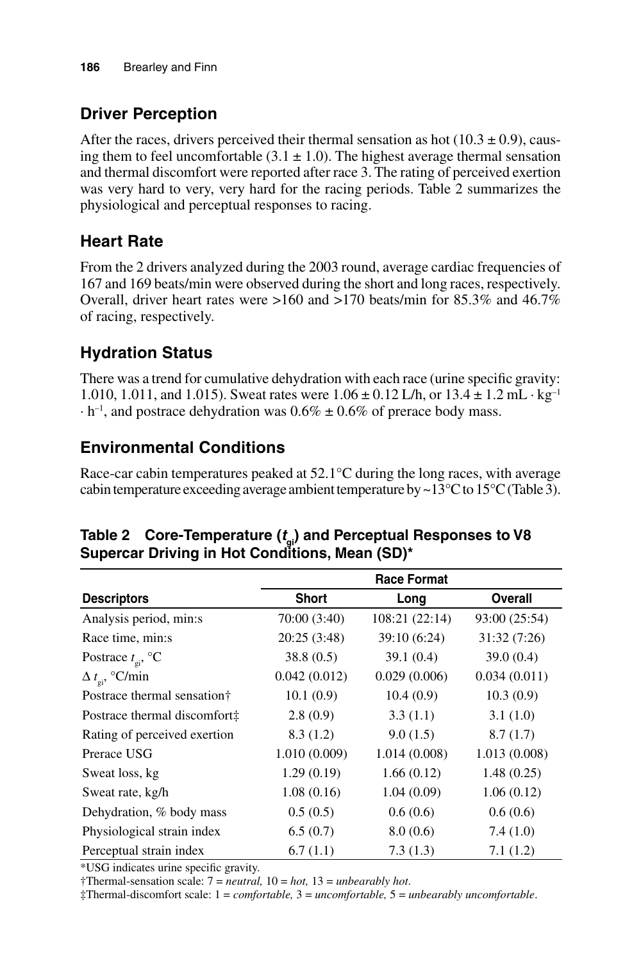# **Driver Perception**

After the races, drivers perceived their thermal sensation as hot  $(10.3 \pm 0.9)$ , causing them to feel uncomfortable  $(3.1 \pm 1.0)$ . The highest average thermal sensation and thermal discomfort were reported after race 3. The rating of perceived exertion was very hard to very, very hard for the racing periods. Table 2 summarizes the physiological and perceptual responses to racing.

# **Heart Rate**

From the 2 drivers analyzed during the 2003 round, average cardiac frequencies of 167 and 169 beats/min were observed during the short and long races, respectively. Overall, driver heart rates were >160 and >170 beats/min for 85.3% and 46.7% of racing, respectively.

# **Hydration Status**

There was a trend for cumulative dehydration with each race (urine specific gravity: 1.010, 1.011, and 1.015). Sweat rates were  $1.06 \pm 0.12$  L/h, or  $13.4 \pm 1.2$  mL $\cdot$  kg<sup>-1</sup>  $\cdot$  h<sup>-1</sup>, and postrace dehydration was 0.6%  $\pm$  0.6% of prerace body mass.

### **Environmental Conditions**

Race-car cabin temperatures peaked at 52.1°C during the long races, with average cabin temperature exceeding average ambient temperature by  $\sim$  13 $^{\circ}$ C to 15 $^{\circ}$ C (Table 3).

|                               | <b>Race Format</b> |                |                |  |  |  |
|-------------------------------|--------------------|----------------|----------------|--|--|--|
| <b>Descriptors</b>            | <b>Short</b>       | Long           | <b>Overall</b> |  |  |  |
| Analysis period, min:s        | 70:00 (3:40)       | 108:21 (22:14) | 93:00 (25:54)  |  |  |  |
| Race time, min:s              | 20:25(3:48)        | 39:10 (6:24)   | 31:32(7:26)    |  |  |  |
| Postrace $t_{\text{ei}}$ , °C | 38.8(0.5)          | 39.1(0.4)      | 39.0(0.4)      |  |  |  |
| $\Delta t_{\rm ei}$ , °C/min  | 0.042(0.012)       | 0.029(0.006)   | 0.034(0.011)   |  |  |  |
| Postrace thermal sensation†   | 10.1(0.9)          | 10.4(0.9)      | 10.3(0.9)      |  |  |  |
| Postrace thermal discomfort#  | 2.8(0.9)           | 3.3(1.1)       | 3.1(1.0)       |  |  |  |
| Rating of perceived exertion  | 8.3(1.2)           | 9.0(1.5)       | 8.7(1.7)       |  |  |  |
| Prerace USG                   | 1.010(0.009)       | 1.014(0.008)   | 1.013(0.008)   |  |  |  |
| Sweat loss, kg                | 1.29(0.19)         | 1.66(0.12)     | 1.48(0.25)     |  |  |  |
| Sweat rate, kg/h              | 1.08(0.16)         | 1.04(0.09)     | 1.06(0.12)     |  |  |  |
| Dehydration, % body mass      | 0.5(0.5)           | 0.6(0.6)       | 0.6(0.6)       |  |  |  |
| Physiological strain index    | 6.5(0.7)           | 8.0(0.6)       | 7.4(1.0)       |  |  |  |
| Perceptual strain index       | 6.7(1.1)           | 7.3(1.3)       | 7.1(1.2)       |  |  |  |

**Table 2 Core-Temperature (***t* **gi) and Perceptual Responses to V8 Supercar Driving in Hot Conditions, Mean (SD)\***

\*USG indicates urine specific gravity.

†Thermal-sensation scale: 7 = *neutral,* 10 = *hot,* 13 = *unbearably hot*.

‡Thermal-discomfort scale: 1 = *comfortable,* 3 = *uncomfortable,* 5 = *unbearably uncomfortable*.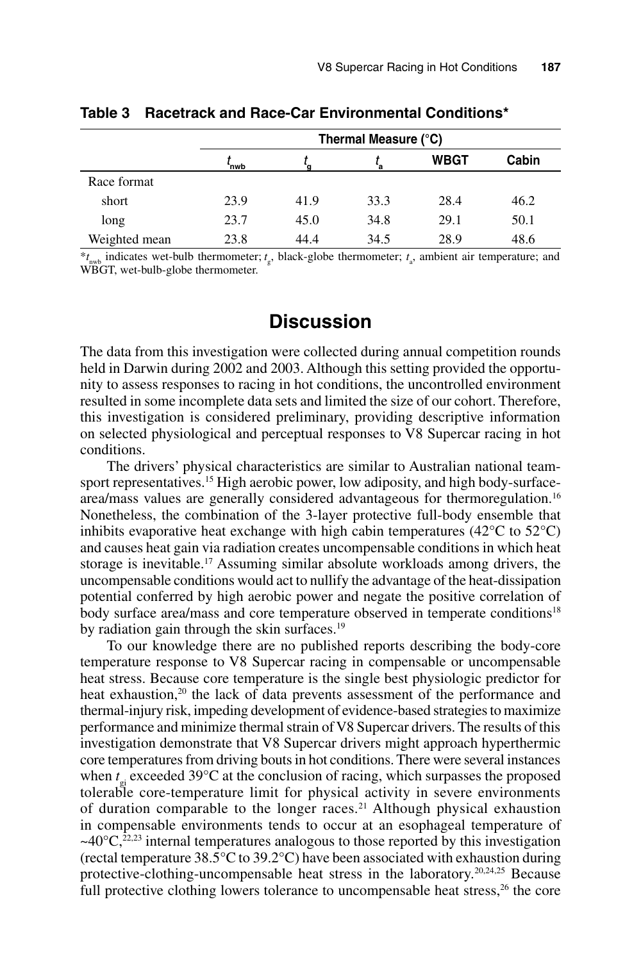|               | Thermal Measure (°C) |      |      |      |       |  |  |
|---------------|----------------------|------|------|------|-------|--|--|
|               | `nwb                 |      |      | WBGT | Cabin |  |  |
| Race format   |                      |      |      |      |       |  |  |
| short         | 23.9                 | 41.9 | 33.3 | 28.4 | 46.2  |  |  |
| long          | 23.7                 | 45.0 | 34.8 | 29.1 | 50.1  |  |  |
| Weighted mean | 23.8                 | 44.4 | 34.5 | 28.9 | 48.6  |  |  |

#### **Table 3 Racetrack and Race-Car Environmental Conditions\***

\**t* nwb indicates wet-bulb thermometer; *t* g , black-globe thermometer; *t* a , ambient air temperature; and WBGT, wet-bulb-globe thermometer.

### **Discussion**

The data from this investigation were collected during annual competition rounds held in Darwin during 2002 and 2003. Although this setting provided the opportunity to assess responses to racing in hot conditions, the uncontrolled environment resulted in some incomplete data sets and limited the size of our cohort. Therefore, this investigation is considered preliminary, providing descriptive information on selected physiological and perceptual responses to V8 Supercar racing in hot conditions.

The drivers' physical characteristics are similar to Australian national teamsport representatives.<sup>15</sup> High aerobic power, low adiposity, and high body-surfacearea/mass values are generally considered advantageous for thermoregulation.16 Nonetheless, the combination of the 3-layer protective full-body ensemble that inhibits evaporative heat exchange with high cabin temperatures ( $42^{\circ}$ C to  $52^{\circ}$ C) and causes heat gain via radiation creates uncompensable conditions in which heat storage is inevitable.<sup>17</sup> Assuming similar absolute workloads among drivers, the uncompensable conditions would act to nullify the advantage of the heat-dissipation potential conferred by high aerobic power and negate the positive correlation of body surface area/mass and core temperature observed in temperate conditions<sup>18</sup> by radiation gain through the skin surfaces.<sup>19</sup>

To our knowledge there are no published reports describing the body-core temperature response to V8 Supercar racing in compensable or uncompensable heat stress. Because core temperature is the single best physiologic predictor for heat exhaustion,<sup>20</sup> the lack of data prevents assessment of the performance and thermal-injury risk, impeding development of evidence-based strategies to maximize performance and minimize thermal strain of V8 Supercar drivers. The results of this investigation demonstrate that V8 Supercar drivers might approach hyperthermic core temperatures from driving bouts in hot conditions. There were several instances when  $t_{\rm gi}$  exceeded 39 $\rm ^{\circ}C$  at the conclusion of racing, which surpasses the proposed tolerable core-temperature limit for physical activity in severe environments of duration comparable to the longer races.<sup>21</sup> Although physical exhaustion in compensable environments tends to occur at an esophageal temperature of  $\sim$ 40 $\degree$ C,<sup>22,23</sup> internal temperatures analogous to those reported by this investigation (rectal temperature 38.5°C to 39.2°C) have been associated with exhaustion during protective-clothing-uncompensable heat stress in the laboratory.<sup>20,24,25</sup> Because full protective clothing lowers tolerance to uncompensable heat stress,<sup>26</sup> the core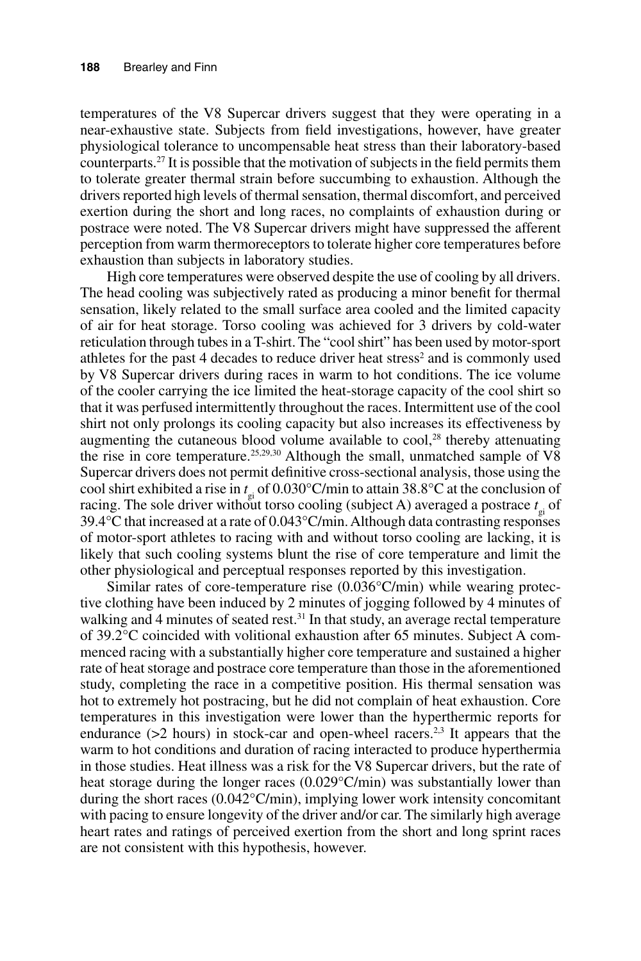temperatures of the V8 Supercar drivers suggest that they were operating in a near-exhaustive state. Subjects from field investigations, however, have greater physiological tolerance to uncompensable heat stress than their laboratory-based counterparts.27 It is possible that the motivation of subjects in the field permits them to tolerate greater thermal strain before succumbing to exhaustion. Although the drivers reported high levels of thermal sensation, thermal discomfort, and perceived exertion during the short and long races, no complaints of exhaustion during or postrace were noted. The V8 Supercar drivers might have suppressed the afferent perception from warm thermoreceptors to tolerate higher core temperatures before exhaustion than subjects in laboratory studies.

High core temperatures were observed despite the use of cooling by all drivers. The head cooling was subjectively rated as producing a minor benefit for thermal sensation, likely related to the small surface area cooled and the limited capacity of air for heat storage. Torso cooling was achieved for 3 drivers by cold-water reticulation through tubes in a T-shirt. The "cool shirt" has been used by motor-sport athletes for the past 4 decades to reduce driver heat stress<sup>2</sup> and is commonly used by V8 Supercar drivers during races in warm to hot conditions. The ice volume of the cooler carrying the ice limited the heat-storage capacity of the cool shirt so that it was perfused intermittently throughout the races. Intermittent use of the cool shirt not only prolongs its cooling capacity but also increases its effectiveness by augmenting the cutaneous blood volume available to  $\text{cool}^2$ , thereby attenuating the rise in core temperature.<sup>25,29,30</sup> Although the small, unmatched sample of  $V\overline{8}$ Supercar drivers does not permit definitive cross-sectional analysis, those using the cool shirt exhibited a rise in *t* gi of 0.030°C/min to attain 38.8°C at the conclusion of racing. The sole driver without torso cooling (subject A) averaged a postrace  $t_{\rm gi}$  of 39.4°C that increased at a rate of 0.043°C/min. Although data contrasting responses of motor-sport athletes to racing with and without torso cooling are lacking, it is likely that such cooling systems blunt the rise of core temperature and limit the other physiological and perceptual responses reported by this investigation.

Similar rates of core-temperature rise (0.036°C/min) while wearing protective clothing have been induced by 2 minutes of jogging followed by 4 minutes of walking and 4 minutes of seated rest.<sup>31</sup> In that study, an average rectal temperature of 39.2°C coincided with volitional exhaustion after 65 minutes. Subject A commenced racing with a substantially higher core temperature and sustained a higher rate of heat storage and postrace core temperature than those in the aforementioned study, completing the race in a competitive position. His thermal sensation was hot to extremely hot postracing, but he did not complain of heat exhaustion. Core temperatures in this investigation were lower than the hyperthermic reports for endurance  $(>2$  hours) in stock-car and open-wheel racers.<sup>2,3</sup> It appears that the warm to hot conditions and duration of racing interacted to produce hyperthermia in those studies. Heat illness was a risk for the V8 Supercar drivers, but the rate of heat storage during the longer races (0.029°C/min) was substantially lower than during the short races (0.042°C/min), implying lower work intensity concomitant with pacing to ensure longevity of the driver and/or car. The similarly high average heart rates and ratings of perceived exertion from the short and long sprint races are not consistent with this hypothesis, however.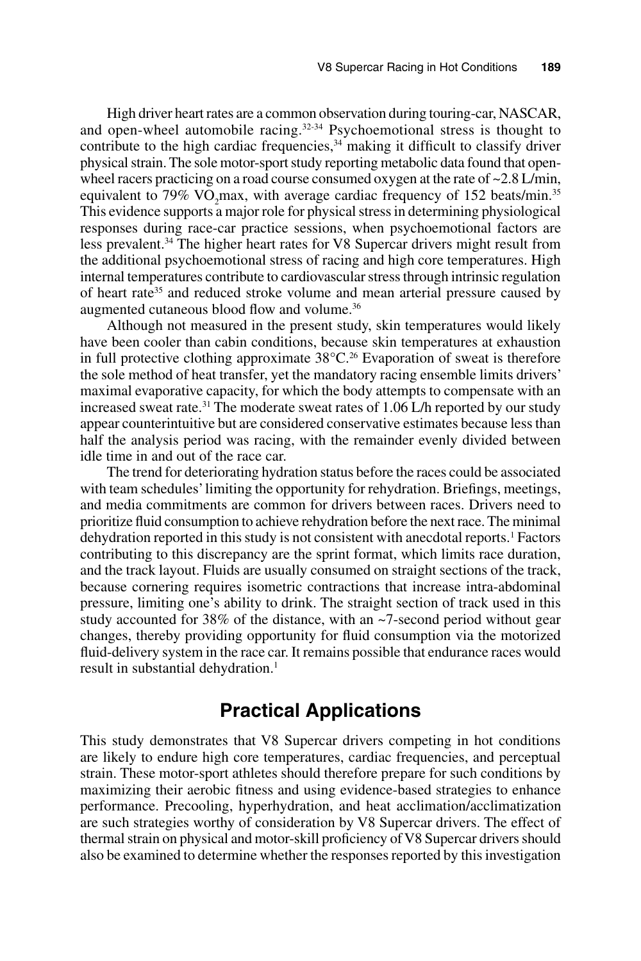High driver heart rates are a common observation during touring-car, NASCAR, and open-wheel automobile racing.<sup>32-34</sup> Psychoemotional stress is thought to contribute to the high cardiac frequencies,<sup>34</sup> making it difficult to classify driver physical strain. The sole motor-sport study reporting metabolic data found that openwheel racers practicing on a road course consumed oxygen at the rate of ~2.8 L/min, equivalent to 79%  $VO_2$ max, with average cardiac frequency of 152 beats/min.<sup>35</sup> This evidence supports a major role for physical stress in determining physiological responses during race-car practice sessions, when psychoemotional factors are less prevalent.<sup>34</sup> The higher heart rates for V8 Supercar drivers might result from the additional psychoemotional stress of racing and high core temperatures. High internal temperatures contribute to cardiovascular stress through intrinsic regulation of heart rate<sup>35</sup> and reduced stroke volume and mean arterial pressure caused by augmented cutaneous blood flow and volume.36

Although not measured in the present study, skin temperatures would likely have been cooler than cabin conditions, because skin temperatures at exhaustion in full protective clothing approximate 38°C.<sup>26</sup> Evaporation of sweat is therefore the sole method of heat transfer, yet the mandatory racing ensemble limits drivers' maximal evaporative capacity, for which the body attempts to compensate with an increased sweat rate.<sup>31</sup> The moderate sweat rates of 1.06 L/h reported by our study appear counterintuitive but are considered conservative estimates because less than half the analysis period was racing, with the remainder evenly divided between idle time in and out of the race car.

The trend for deteriorating hydration status before the races could be associated with team schedules' limiting the opportunity for rehydration. Briefings, meetings, and media commitments are common for drivers between races. Drivers need to prioritize fluid consumption to achieve rehydration before the next race. The minimal dehydration reported in this study is not consistent with anecdotal reports.<sup>1</sup> Factors contributing to this discrepancy are the sprint format, which limits race duration, and the track layout. Fluids are usually consumed on straight sections of the track, because cornering requires isometric contractions that increase intra-abdominal pressure, limiting one's ability to drink. The straight section of track used in this study accounted for 38% of the distance, with an ~7-second period without gear changes, thereby providing opportunity for fluid consumption via the motorized fluid-delivery system in the race car. It remains possible that endurance races would result in substantial dehydration.<sup>1</sup>

### **Practical Applications**

This study demonstrates that V8 Supercar drivers competing in hot conditions are likely to endure high core temperatures, cardiac frequencies, and perceptual strain. These motor-sport athletes should therefore prepare for such conditions by maximizing their aerobic fitness and using evidence-based strategies to enhance performance. Precooling, hyperhydration, and heat acclimation/acclimatization are such strategies worthy of consideration by V8 Supercar drivers. The effect of thermal strain on physical and motor-skill proficiency of V8 Supercar drivers should also be examined to determine whether the responses reported by this investigation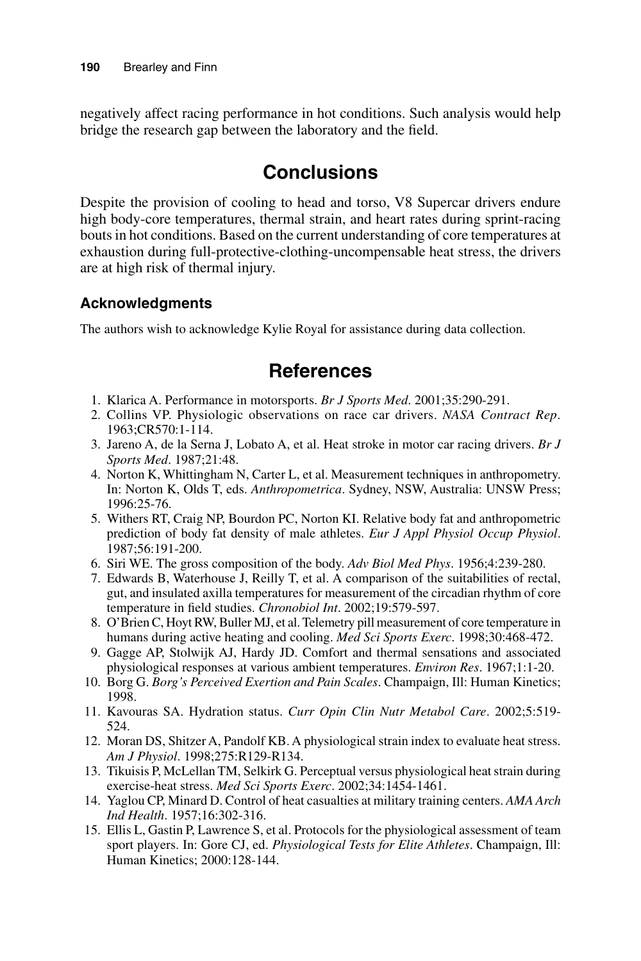negatively affect racing performance in hot conditions. Such analysis would help bridge the research gap between the laboratory and the field.

# **Conclusions**

Despite the provision of cooling to head and torso, V8 Supercar drivers endure high body-core temperatures, thermal strain, and heart rates during sprint-racing bouts in hot conditions. Based on the current understanding of core temperatures at exhaustion during full-protective-clothing-uncompensable heat stress, the drivers are at high risk of thermal injury.

#### **Acknowledgments**

The authors wish to acknowledge Kylie Royal for assistance during data collection.

# **References**

- 1. Klarica A. Performance in motorsports. *Br J Sports Med*. 2001;35:290-291.
- 2. Collins VP. Physiologic observations on race car drivers. *NASA Contract Rep*. 1963;CR570:1-114.
- 3. Jareno A, de la Serna J, Lobato A, et al. Heat stroke in motor car racing drivers. *Br J Sports Med*. 1987;21:48.
- 4. Norton K, Whittingham N, Carter L, et al. Measurement techniques in anthropometry. In: Norton K, Olds T, eds. *Anthropometrica*. Sydney, NSW, Australia: UNSW Press; 1996:25-76.
- 5. Withers RT, Craig NP, Bourdon PC, Norton KI. Relative body fat and anthropometric prediction of body fat density of male athletes. *Eur J Appl Physiol Occup Physiol*. 1987;56:191-200.
- 6. Siri WE. The gross composition of the body. *Adv Biol Med Phys*. 1956;4:239-280.
- 7. Edwards B, Waterhouse J, Reilly T, et al. A comparison of the suitabilities of rectal, gut, and insulated axilla temperatures for measurement of the circadian rhythm of core temperature in field studies. *Chronobiol Int*. 2002;19:579-597.
- 8. O'Brien C, Hoyt RW, Buller MJ, et al. Telemetry pill measurement of core temperature in humans during active heating and cooling. *Med Sci Sports Exerc*. 1998;30:468-472.
- 9. Gagge AP, Stolwijk AJ, Hardy JD. Comfort and thermal sensations and associated physiological responses at various ambient temperatures. *Environ Res*. 1967;1:1-20.
- 10. Borg G. *Borg's Perceived Exertion and Pain Scales*. Champaign, Ill: Human Kinetics; 1998.
- 11. Kavouras SA. Hydration status. *Curr Opin Clin Nutr Metabol Care*. 2002;5:519- 524.
- 12. Moran DS, Shitzer A, Pandolf KB. A physiological strain index to evaluate heat stress. *Am J Physiol*. 1998;275:R129-R134.
- 13. Tikuisis P, McLellan TM, Selkirk G. Perceptual versus physiological heat strain during exercise-heat stress. *Med Sci Sports Exerc*. 2002;34:1454-1461.
- 14. Yaglou CP, Minard D. Control of heat casualties at military training centers. *AMA Arch Ind Health*. 1957;16:302-316.
- 15. Ellis L, Gastin P, Lawrence S, et al. Protocols for the physiological assessment of team sport players. In: Gore CJ, ed. *Physiological Tests for Elite Athletes*. Champaign, Ill: Human Kinetics; 2000:128-144.